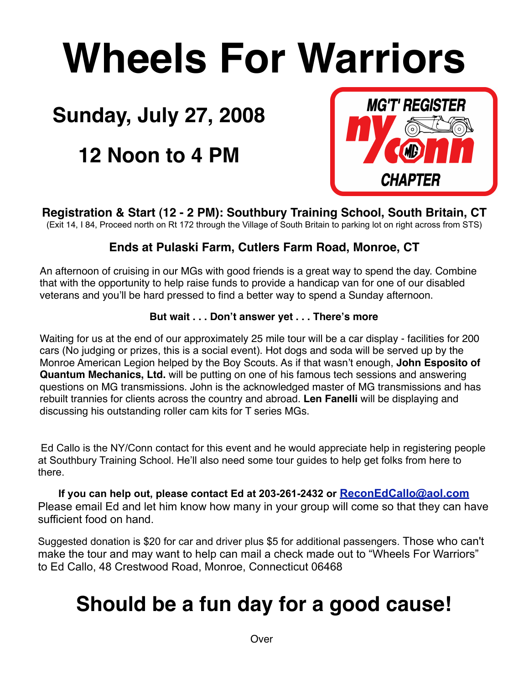# **Wheels For Warriors**

# **Sunday, July 27, 2008**

# **12 Noon to 4 PM**



**Registration & Start (12 - 2 PM): Southbury Training School, South Britain, CT**  (Exit 14, I 84, Proceed north on Rt 172 through the Village of South Britain to parking lot on right across from STS)

## **Ends at Pulaski Farm, Cutlers Farm Road, Monroe, CT**

An afternoon of cruising in our MGs with good friends is a great way to spend the day. Combine that with the opportunity to help raise funds to provide a handicap van for one of our disabled veterans and you'll be hard pressed to find a better way to spend a Sunday afternoon.

## **But wait . . . Don't answer yet . . . There's more**

Waiting for us at the end of our approximately 25 mile tour will be a car display - facilities for 200 cars (No judging or prizes, this is a social event). Hot dogs and soda will be served up by the Monroe American Legion helped by the Boy Scouts. As if that wasn't enough, **John Esposito of Quantum Mechanics, Ltd.** will be putting on one of his famous tech sessions and answering questions on MG transmissions. John is the acknowledged master of MG transmissions and has rebuilt trannies for clients across the country and abroad. **Len Fanelli** will be displaying and discussing his outstanding roller cam kits for T series MGs.

 Ed Callo is the NY/Conn contact for this event and he would appreciate help in registering people at Southbury Training School. He'll also need some tour guides to help get folks from here to there.

**If you can help out, please contact Ed at 203-261-2432 or [ReconEdCallo@aol.com](mailto:ReconEdCallo@aol.com)** Please email Ed and let him know how many in your group will come so that they can have sufficient food on hand.

Suggested donation is \$20 for car and driver plus \$5 for additional passengers. Those who can't make the tour and may want to help can mail a check made out to "Wheels For Warriors" to Ed Callo, 48 Crestwood Road, Monroe, Connecticut 06468

# **Should be a fun day for a good cause!**